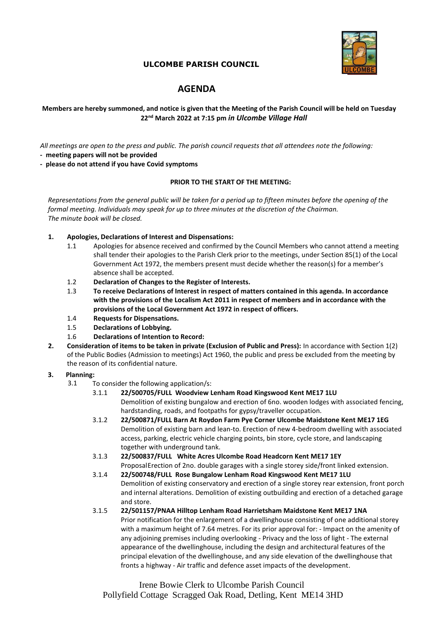

## **ULCOMBE PARISH COUNCIL**

# **AGENDA**

### Members are hereby summoned, and notice is given that the Meeting of the Parish Council will be held on Tuesday **22nd March 2022 at 7:15 pm** *in Ulcombe Village Hall*

All meetings are open to the press and public. The parish council requests that all attendees note the following: **- meeting papers will not be provided**

#### **- please do not attend if you have Covid symptoms**

#### **PRIOR TO THE START OF THE MEETING:**

*Representations from the general public will be taken for a period up to fifteen minutes before the opening of the formal meeting. Individuals may speak for up to three minutes at the discretion of the Chairman. The minute book will be closed.*

- **1. Apologies, Declarations of Interest and Dispensations:**
	- 1.1 Apologies for absence received and confirmed by the Council Members who cannot attend a meeting shall tender their apologies to the Parish Clerk prior to the meetings, under Section 85(1) of the Local Government Act 1972, the members present must decide whether the reason(s) for a member's absence shall be accepted.
	- 1.2 **Declaration of Changes to the Register of Interests.**
	- 1.3 **To receive Declarations of Interest in respect of matters contained in this agenda. In accordance with the provisions of the Localism Act 2011 in respect of members and in accordance with the provisions of the Local Government Act 1972 in respect of officers.**
	- 1.4 **Requests for Dispensations.**
	- 1.5 **Declarations of Lobbying.**
	- 1.6 **Declarations of Intention to Record:**
- **2. Consideration of items to be taken in private (Exclusion of Public and Press):** In accordance with Section 1(2) of the Public Bodies (Admission to meetings) Act 1960, the public and press be excluded from the meeting by the reason of its confidential nature.

# **3. Planning:**

- To consider the following application/s:
	- 3.1.1 **22/500705/FULL Woodview Lenham Road Kingswood Kent ME17 1LU**

Demolition of existing bungalow and erection of 6no. wooden lodges with associated fencing, hardstanding, roads, and footpaths for gypsy/traveller occupation.

- 3.1.2 **22/500871/FULL Barn At Roydon Farm Pye Corner Ulcombe Maidstone Kent ME17 1EG** Demolition of existing barn and lean-to. Erection of new 4-bedroom dwelling with associated access, parking, electric vehicle charging points, bin store, cycle store, and landscaping together with underground tank.
- 3.1.3 **22/500837/FULL White Acres Ulcombe Road Headcorn Kent ME17 1EY** ProposalErection of 2no. double garages with a single storey side/front linked extension.
- 3.1.4 **22/500748/FULL Rose Bungalow Lenham Road Kingswood Kent ME17 1LU** Demolition of existing conservatory and erection of a single storey rear extension, front porch and internal alterations. Demolition of existing outbuilding and erection of a detached garage and store.
- 3.1.5 **22/501157/PNAA Hilltop Lenham Road Harrietsham Maidstone Kent ME17 1NA** Prior notification for the enlargement of a dwellinghouse consisting of one additional storey with a maximum height of 7.64 metres. For its prior approval for: - Impact on the amenity of any adjoining premises including overlooking - Privacy and the loss of light - The external appearance of the dwellinghouse, including the design and architectural features of the principal elevation of the dwellinghouse, and any side elevation of the dwellinghouse that fronts a highway - Air traffic and defence asset impacts of the development.

Irene Bowie Clerk to Ulcombe Parish Council Pollyfield Cottage Scragged Oak Road, Detling, Kent ME14 3HD